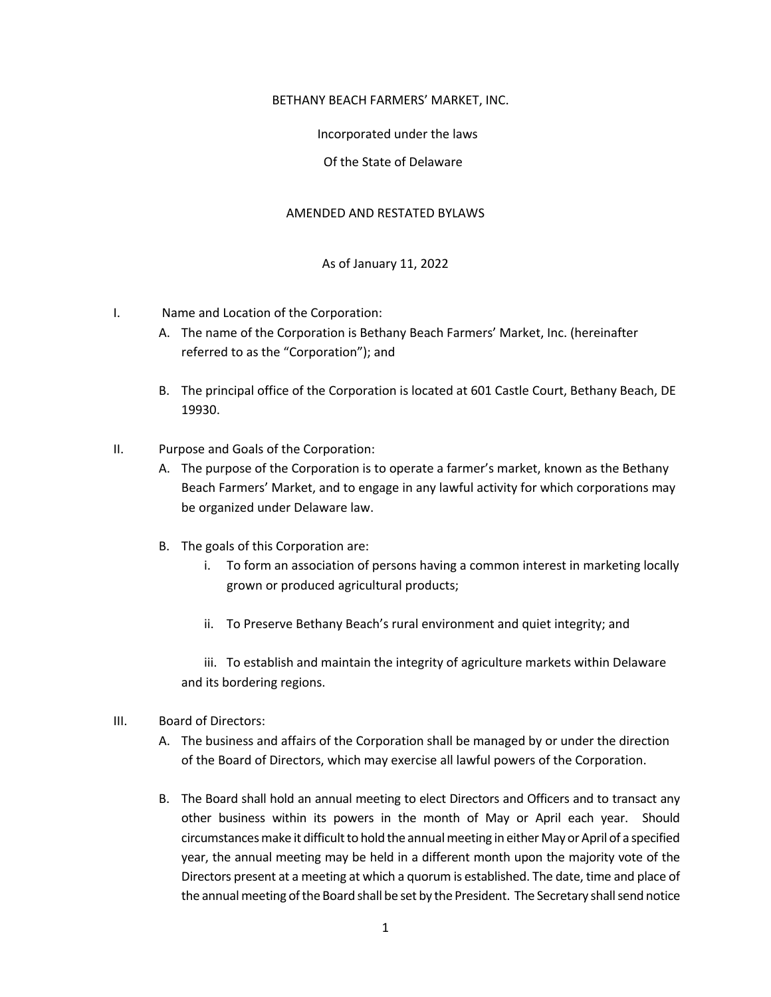#### BETHANY BEACH FARMERS' MARKET, INC.

## Incorporated under the laws

## Of the State of Delaware

#### AMENDED AND RESTATED BYLAWS

# As of January 11, 2022

- I. Name and Location of the Corporation:
	- A. The name of the Corporation is Bethany Beach Farmers' Market, Inc. (hereinafter referred to as the "Corporation"); and
	- B. The principal office of the Corporation is located at 601 Castle Court, Bethany Beach, DE 19930.
- II. Purpose and Goals of the Corporation:
	- A. The purpose of the Corporation is to operate a farmer's market, known as the Bethany Beach Farmers' Market, and to engage in any lawful activity for which corporations may be organized under Delaware law.
	- B. The goals of this Corporation are:
		- i. To form an association of persons having a common interest in marketing locally grown or produced agricultural products;
		- ii. To Preserve Bethany Beach's rural environment and quiet integrity; and

iii. To establish and maintain the integrity of agriculture markets within Delaware and its bordering regions.

- III. Board of Directors:
	- A. The business and affairs of the Corporation shall be managed by or under the direction of the Board of Directors, which may exercise all lawful powers of the Corporation.
	- B. The Board shall hold an annual meeting to elect Directors and Officers and to transact any other business within its powers in the month of May or April each year. Should circumstances make it difficult to hold the annual meeting in either May or April of a specified year, the annual meeting may be held in a different month upon the majority vote of the Directors present at a meeting at which a quorum is established. The date, time and place of the annual meeting of the Board shall be set by the President. The Secretary shall send notice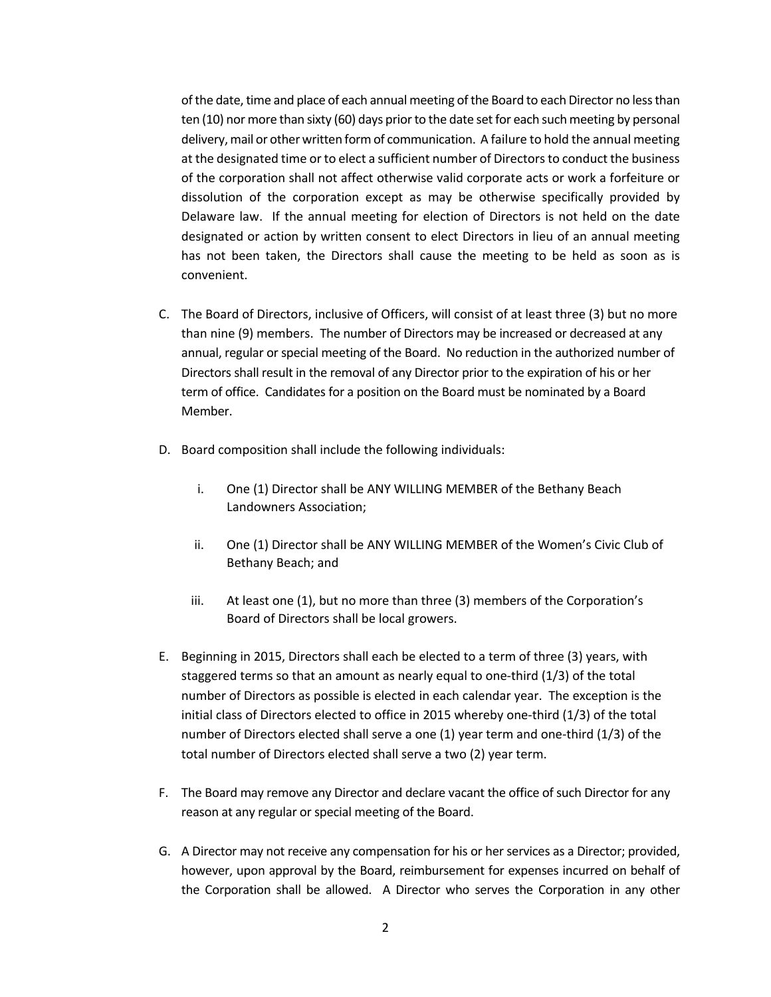of the date, time and place of each annual meeting of the Board to each Director no less than ten (10) nor more than sixty (60) days prior to the date set for each such meeting by personal delivery, mail or other written form of communication. A failure to hold the annual meeting at the designated time or to elect a sufficient number of Directors to conduct the business of the corporation shall not affect otherwise valid corporate acts or work a forfeiture or dissolution of the corporation except as may be otherwise specifically provided by Delaware law. If the annual meeting for election of Directors is not held on the date designated or action by written consent to elect Directors in lieu of an annual meeting has not been taken, the Directors shall cause the meeting to be held as soon as is convenient.

- C. The Board of Directors, inclusive of Officers, will consist of at least three (3) but no more than nine (9) members. The number of Directors may be increased or decreased at any annual, regular or special meeting of the Board. No reduction in the authorized number of Directors shall result in the removal of any Director prior to the expiration of his or her term of office. Candidates for a position on the Board must be nominated by a Board Member.
- D. Board composition shall include the following individuals:
	- i. One (1) Director shall be ANY WILLING MEMBER of the Bethany Beach Landowners Association;
	- ii. One (1) Director shall be ANY WILLING MEMBER of the Women's Civic Club of Bethany Beach; and
	- iii. At least one (1), but no more than three (3) members of the Corporation's Board of Directors shall be local growers.
- E. Beginning in 2015, Directors shall each be elected to a term of three (3) years, with staggered terms so that an amount as nearly equal to one-third (1/3) of the total number of Directors as possible is elected in each calendar year. The exception is the initial class of Directors elected to office in 2015 whereby one-third (1/3) of the total number of Directors elected shall serve a one (1) year term and one-third (1/3) of the total number of Directors elected shall serve a two (2) year term.
- F. The Board may remove any Director and declare vacant the office of such Director for any reason at any regular or special meeting of the Board.
- G. A Director may not receive any compensation for his or her services as a Director; provided, however, upon approval by the Board, reimbursement for expenses incurred on behalf of the Corporation shall be allowed. A Director who serves the Corporation in any other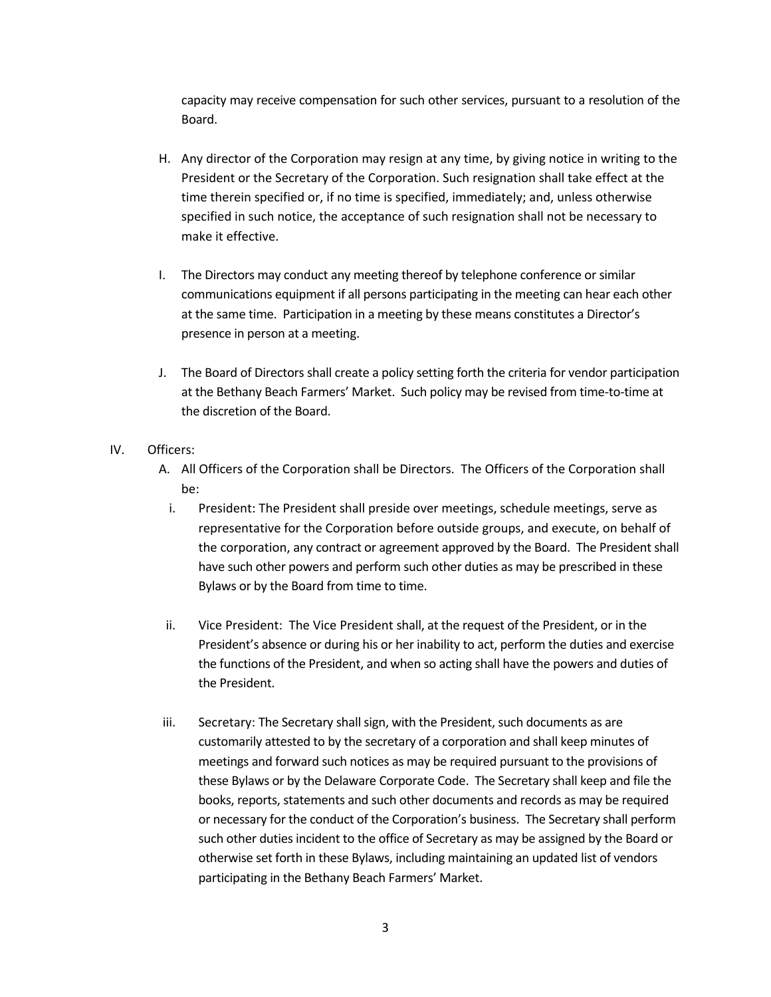capacity may receive compensation for such other services, pursuant to a resolution of the Board.

- H. Any director of the Corporation may resign at any time, by giving notice in writing to the President or the Secretary of the Corporation. Such resignation shall take effect at the time therein specified or, if no time is specified, immediately; and, unless otherwise specified in such notice, the acceptance of such resignation shall not be necessary to make it effective.
- I. The Directors may conduct any meeting thereof by telephone conference or similar communications equipment if all persons participating in the meeting can hear each other at the same time. Participation in a meeting by these means constitutes a Director's presence in person at a meeting.
- J. The Board of Directors shall create a policy setting forth the criteria for vendor participation at the Bethany Beach Farmers' Market. Such policy may be revised from time-to-time at the discretion of the Board.
- IV. Officers:
	- A. All Officers of the Corporation shall be Directors. The Officers of the Corporation shall be:
		- i. President: The President shall preside over meetings, schedule meetings, serve as representative for the Corporation before outside groups, and execute, on behalf of the corporation, any contract or agreement approved by the Board. The President shall have such other powers and perform such other duties as may be prescribed in these Bylaws or by the Board from time to time.
	- ii. Vice President: The Vice President shall, at the request of the President, or in the President's absence or during his or her inability to act, perform the duties and exercise the functions of the President, and when so acting shall have the powers and duties of the President.
	- iii. Secretary: The Secretary shall sign, with the President, such documents as are customarily attested to by the secretary of a corporation and shall keep minutes of meetings and forward such notices as may be required pursuant to the provisions of these Bylaws or by the Delaware Corporate Code. The Secretary shall keep and file the books, reports, statements and such other documents and records as may be required or necessary for the conduct of the Corporation's business. The Secretary shall perform such other duties incident to the office of Secretary as may be assigned by the Board or otherwise set forth in these Bylaws, including maintaining an updated list of vendors participating in the Bethany Beach Farmers' Market.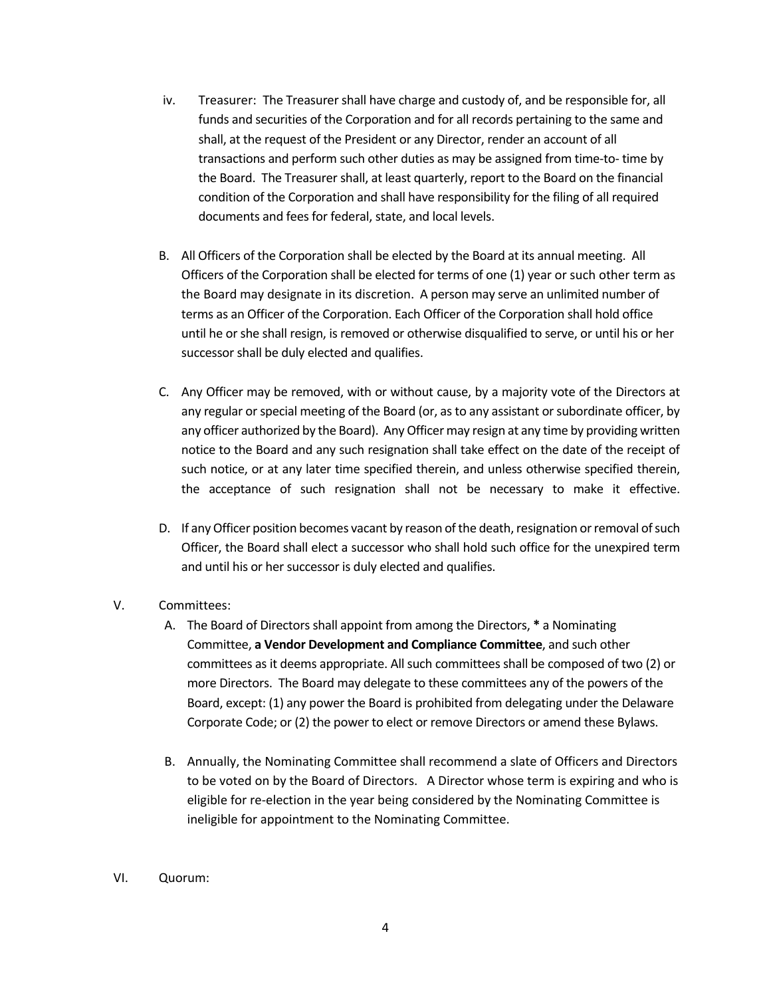- iv. Treasurer: The Treasurer shall have charge and custody of, and be responsible for, all funds and securities of the Corporation and for all records pertaining to the same and shall, at the request of the President or any Director, render an account of all transactions and perform such other duties as may be assigned from time-to- time by the Board. The Treasurer shall, at least quarterly, report to the Board on the financial condition of the Corporation and shall have responsibility for the filing of all required documents and fees for federal, state, and local levels.
- B. All Officers of the Corporation shall be elected by the Board at its annual meeting. All Officers of the Corporation shall be elected for terms of one (1) year or such other term as the Board may designate in its discretion. A person may serve an unlimited number of terms as an Officer of the Corporation. Each Officer of the Corporation shall hold office until he or she shall resign, is removed or otherwise disqualified to serve, or until his or her successor shall be duly elected and qualifies.
- C. Any Officer may be removed, with or without cause, by a majority vote of the Directors at any regular or special meeting of the Board (or, as to any assistant or subordinate officer, by any officer authorized by the Board). Any Officer may resign at any time by providing written notice to the Board and any such resignation shall take effect on the date of the receipt of such notice, or at any later time specified therein, and unless otherwise specified therein, the acceptance of such resignation shall not be necessary to make it effective.
- D. If any Officer position becomes vacant by reason of the death, resignation or removal of such Officer, the Board shall elect a successor who shall hold such office for the unexpired term and until his or her successor is duly elected and qualifies.
- V. Committees:
	- A. The Board of Directors shall appoint from among the Directors, **\*** a Nominating Committee, **a Vendor Development and Compliance Committee**, and such other committees as it deems appropriate. All such committees shall be composed of two (2) or more Directors. The Board may delegate to these committees any of the powers of the Board, except: (1) any power the Board is prohibited from delegating under the Delaware Corporate Code; or (2) the power to elect or remove Directors or amend these Bylaws.
	- B. Annually, the Nominating Committee shall recommend a slate of Officers and Directors to be voted on by the Board of Directors. A Director whose term is expiring and who is eligible for re-election in the year being considered by the Nominating Committee is ineligible for appointment to the Nominating Committee.
- VI. Quorum: